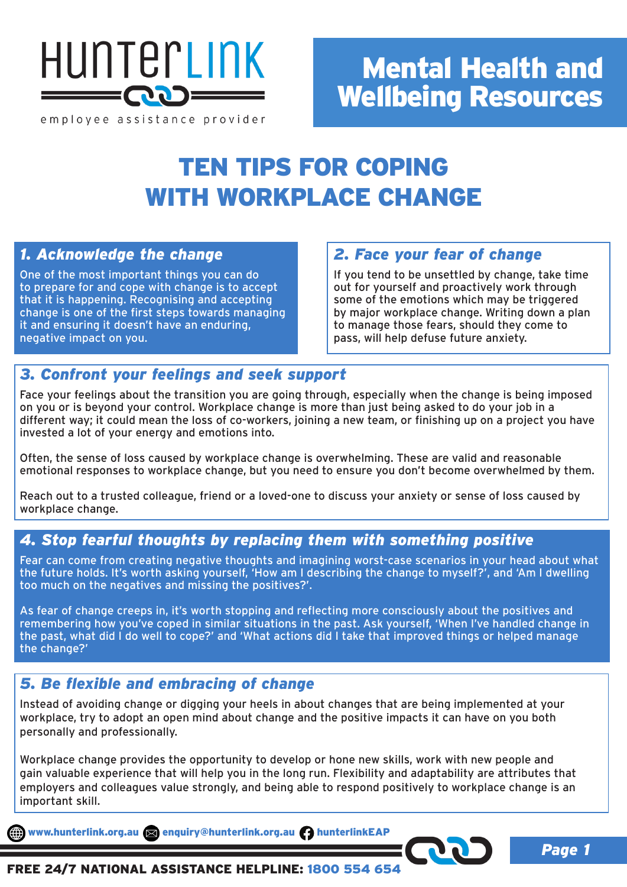

employee assistance provider

# Mental Health and Wellbeing Resources

## TEN TIPS FOR COPING WITH WORKPLACE CHANGE

## *1. Acknowledge the change*

One of the most important things you can do to prepare for and cope with change is to accept that it is happening. Recognising and accepting change is one of the first steps towards managing it and ensuring it doesn't have an enduring, negative impact on you.

## *2. Face your fear of change*

If you tend to be unsettled by change, take time out for yourself and proactively work through some of the emotions which may be triggered by major workplace change. Writing down a plan to manage those fears, should they come to pass, will help defuse future anxiety.

*Page 1*

### *3. Confront your feelings and seek support*

Face your feelings about the transition you are going through, especially when the change is being imposed on you or is beyond your control. Workplace change is more than just being asked to do your job in a different way; it could mean the loss of co-workers, joining a new team, or finishing up on a project you have invested a lot of your energy and emotions into.

Often, the sense of loss caused by workplace change is overwhelming. These are valid and reasonable emotional responses to workplace change, but you need to ensure you don't become overwhelmed by them.

Reach out to a trusted colleague, friend or a loved-one to discuss your anxiety or sense of loss caused by workplace change.

## *4. Stop fearful thoughts by replacing them with something positive*

Fear can come from creating negative thoughts and imagining worst-case scenarios in your head about what the future holds. It's worth asking yourself, 'How am I describing the change to myself?', and 'Am I dwelling too much on the negatives and missing the positives?'.

As fear of change creeps in, it's worth stopping and reflecting more consciously about the positives and remembering how you've coped in similar situations in the past. Ask yourself, 'When I've handled change in the past, what did I do well to cope?' and 'What actions did I take that improved things or helped manage the change?'

### *5. Be flexible and embracing of change*

Instead of avoiding change or digging your heels in about changes that are being implemented at your workplace, try to adopt an open mind about change and the positive impacts it can have on you both personally and professionally.

Workplace change provides the opportunity to develop or hone new skills, work with new people and gain valuable experience that will help you in the long run. Flexibility and adaptability are attributes that employers and colleagues value strongly, and being able to respond positively to workplace change is an important skill.

www.hunterlink.org.au and enquiry@hunterlink.org.au hunterlinkEAP

### FREE 24/7 NATIONAL ASSISTANCE HELPLINE: 1800 554 654